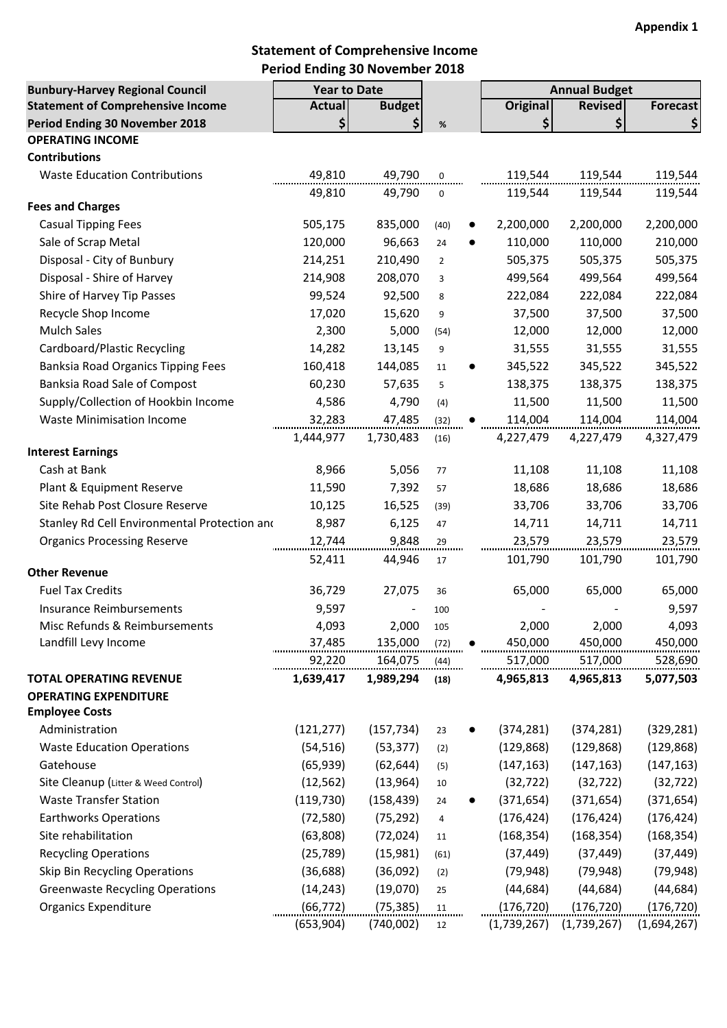# **Statement of Comprehensive Income Period Ending 30 November 2018**

| <b>Bunbury-Harvey Regional Council</b>       | <b>Year to Date</b> |               |                 |                 | <b>Annual Budget</b> |             |
|----------------------------------------------|---------------------|---------------|-----------------|-----------------|----------------------|-------------|
| <b>Statement of Comprehensive Income</b>     | <b>Actual</b>       | <b>Budget</b> |                 | <b>Original</b> | <b>Revised</b>       | Forecast    |
| Period Ending 30 November 2018               | \$                  | \$            | $\%$            | \$              | \$                   | \$          |
| <b>OPERATING INCOME</b>                      |                     |               |                 |                 |                      |             |
| <b>Contributions</b>                         |                     |               |                 |                 |                      |             |
| <b>Waste Education Contributions</b>         | 49,810              | 49,790        | 0               | 119,544         | 119,544              | 119,544     |
|                                              | 49,810              | 49,790        | 0               | 119,544         | 119,544              | 119,544     |
| <b>Fees and Charges</b>                      |                     |               |                 |                 |                      |             |
| <b>Casual Tipping Fees</b>                   | 505,175             | 835,000       | (40)            | 2,200,000       | 2,200,000            | 2,200,000   |
| Sale of Scrap Metal                          | 120,000             | 96,663        | 24<br>$\bullet$ | 110,000         | 110,000              | 210,000     |
| Disposal - City of Bunbury                   | 214,251             | 210,490       | $\overline{2}$  | 505,375         | 505,375              | 505,375     |
| Disposal - Shire of Harvey                   | 214,908             | 208,070       | 3               | 499,564         | 499,564              | 499,564     |
| Shire of Harvey Tip Passes                   | 99,524              | 92,500        | 8               | 222,084         | 222,084              | 222,084     |
| Recycle Shop Income                          | 17,020              | 15,620        | 9               | 37,500          | 37,500               | 37,500      |
| Mulch Sales                                  | 2,300               | 5,000         | (54)            | 12,000          | 12,000               | 12,000      |
| Cardboard/Plastic Recycling                  | 14,282              | 13,145        | 9               | 31,555          | 31,555               | 31,555      |
| <b>Banksia Road Organics Tipping Fees</b>    | 160,418             | 144,085       | 11              | 345,522         | 345,522              | 345,522     |
| Banksia Road Sale of Compost                 | 60,230              | 57,635        | 5               | 138,375         | 138,375              | 138,375     |
| Supply/Collection of Hookbin Income          | 4,586               | 4,790         | (4)             | 11,500          | 11,500               | 11,500      |
| <b>Waste Minimisation Income</b>             | 32,283              | 47,485        | (32)            | 114,004         | 114,004              | 114,004     |
|                                              | 1,444,977           | 1,730,483     | (16)            | 4,227,479       | 4,227,479            | 4,327,479   |
| <b>Interest Earnings</b>                     |                     |               |                 |                 |                      |             |
| Cash at Bank                                 | 8,966               | 5,056         | 77              | 11,108          | 11,108               | 11,108      |
| Plant & Equipment Reserve                    | 11,590              | 7,392         | 57              | 18,686          | 18,686               | 18,686      |
| Site Rehab Post Closure Reserve              | 10,125              | 16,525        | (39)            | 33,706          | 33,706               | 33,706      |
| Stanley Rd Cell Environmental Protection and | 8,987               | 6,125         | 47              | 14,711          | 14,711               | 14,711      |
| <b>Organics Processing Reserve</b>           | 12,744              | 9,848         | 29              | 23,579          | 23,579               | 23,579      |
| <b>Other Revenue</b>                         | 52,411              | 44,946        | 17              | 101,790         | 101,790              | 101,790     |
| <b>Fuel Tax Credits</b>                      | 36,729              | 27,075        | 36              | 65,000          | 65,000               | 65,000      |
| <b>Insurance Reimbursements</b>              | 9,597               |               | 100             |                 |                      | 9,597       |
| Misc Refunds & Reimbursements                | 4,093               | 2,000         | 105             | 2,000           | 2,000                | 4,093       |
| Landfill Levy Income                         | 37,485              | 135,000       | (72)            | 450,000         | 450,000              | 450,000     |
|                                              | 92,220              | 164,075       | (44)            | 517,000         | 517,000              | 528,690     |
| <b>TOTAL OPERATING REVENUE</b>               | 1,639,417           | 1,989,294     | (18)            | 4,965,813       | 4,965,813            | 5,077,503   |
| <b>OPERATING EXPENDITURE</b>                 |                     |               |                 |                 |                      |             |
| <b>Employee Costs</b>                        |                     |               |                 |                 |                      |             |
| Administration                               | (121, 277)          | (157, 734)    | 23              | (374, 281)      | (374, 281)           | (329, 281)  |
| <b>Waste Education Operations</b>            | (54, 516)           | (53, 377)     | (2)             | (129, 868)      | (129, 868)           | (129, 868)  |
| Gatehouse                                    | (65, 939)           | (62, 644)     | (5)             | (147, 163)      | (147, 163)           | (147, 163)  |
| Site Cleanup (Litter & Weed Control)         | (12, 562)           | (13, 964)     | 10              | (32, 722)       | (32, 722)            | (32, 722)   |
| <b>Waste Transfer Station</b>                | (119, 730)          | (158, 439)    | 24              | (371, 654)      | (371, 654)           | (371, 654)  |
| <b>Earthworks Operations</b>                 | (72, 580)           | (75, 292)     | 4               | (176, 424)      | (176, 424)           | (176, 424)  |
| Site rehabilitation                          | (63,808)            | (72, 024)     | 11              | (168, 354)      | (168, 354)           | (168, 354)  |
| <b>Recycling Operations</b>                  | (25, 789)           | (15,981)      | (61)            | (37, 449)       | (37, 449)            | (37, 449)   |
| Skip Bin Recycling Operations                | (36, 688)           | (36,092)      | (2)             | (79, 948)       | (79, 948)            | (79, 948)   |
| <b>Greenwaste Recycling Operations</b>       | (14, 243)           | (19,070)      | 25              | (44, 684)       | (44, 684)            | (44, 684)   |
| <b>Organics Expenditure</b>                  | (66, 772)           | (75, 385)     | 11              | (176, 720)      | (176, 720)           | (176, 720)  |
|                                              | (653,904)           | (740,002)     | 12              | (1,739,267)     | (1,739,267)          | (1,694,267) |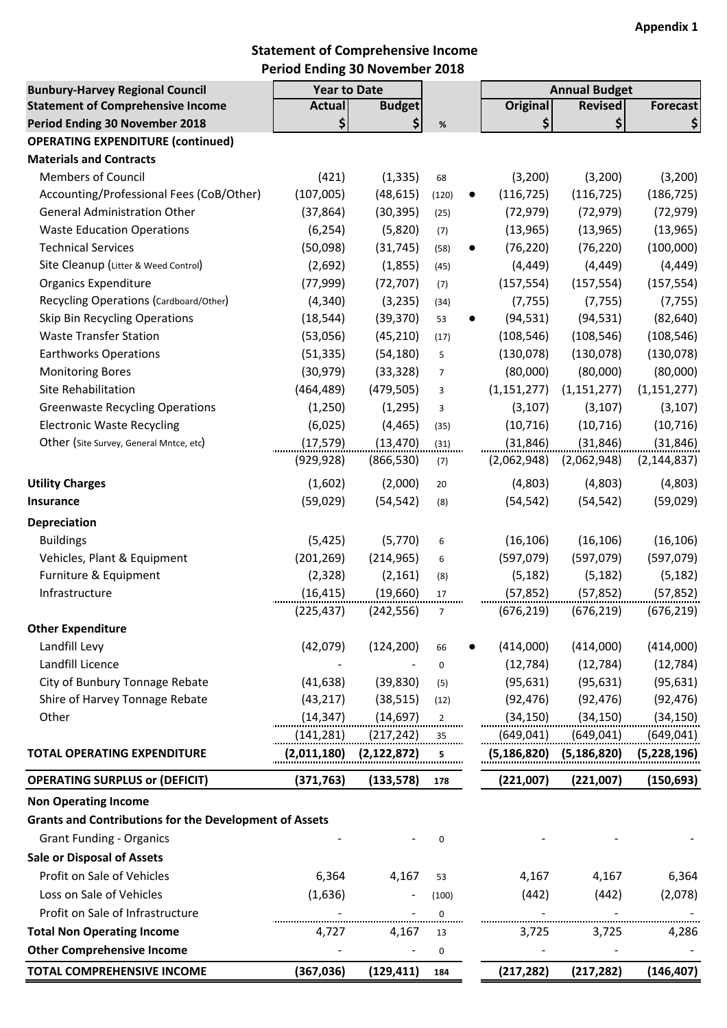### **Statement of Comprehensive Income Period Ending 30 November 2018**

| <b>Bunbury-Harvey Regional Council</b>                                     | <b>Year to Date</b> |                              |                |           |                 | <b>Annual Budget</b> |                 |
|----------------------------------------------------------------------------|---------------------|------------------------------|----------------|-----------|-----------------|----------------------|-----------------|
| <b>Statement of Comprehensive Income</b>                                   | <b>Actual</b>       | <b>Budget</b><br>\$          |                |           | <b>Original</b> | <b>Revised</b>       | <b>Forecast</b> |
| Period Ending 30 November 2018<br><b>OPERATING EXPENDITURE (continued)</b> | \$                  |                              | $\%$           |           | \$              | \$                   | \$              |
| <b>Materials and Contracts</b>                                             |                     |                              |                |           |                 |                      |                 |
| <b>Members of Council</b>                                                  | (421)               | (1, 335)                     | 68             |           | (3, 200)        | (3, 200)             | (3,200)         |
| Accounting/Professional Fees (CoB/Other)                                   | (107,005)           | (48, 615)                    | (120)          | $\bullet$ | (116, 725)      | (116, 725)           | (186, 725)      |
| <b>General Administration Other</b>                                        | (37, 864)           | (30, 395)                    | (25)           |           | (72, 979)       | (72, 979)            | (72, 979)       |
| <b>Waste Education Operations</b>                                          | (6, 254)            | (5,820)                      | (7)            |           | (13, 965)       | (13, 965)            | (13, 965)       |
| <b>Technical Services</b>                                                  | (50,098)            | (31, 745)                    | (58)           | $\bullet$ | (76, 220)       | (76, 220)            | (100,000)       |
| Site Cleanup (Litter & Weed Control)                                       | (2,692)             | (1,855)                      | (45)           |           | (4, 449)        | (4, 449)             | (4, 449)        |
| <b>Organics Expenditure</b>                                                | (77, 999)           | (72, 707)                    | (7)            |           | (157, 554)      | (157, 554)           | (157, 554)      |
| Recycling Operations (Cardboard/Other)                                     | (4, 340)            | (3, 235)                     | (34)           |           | (7, 755)        | (7, 755)             | (7, 755)        |
| Skip Bin Recycling Operations                                              | (18, 544)           | (39, 370)                    | 53             | $\bullet$ | (94, 531)       | (94, 531)            | (82, 640)       |
| <b>Waste Transfer Station</b>                                              | (53,056)            | (45, 210)                    | (17)           |           | (108, 546)      | (108, 546)           | (108, 546)      |
| <b>Earthworks Operations</b>                                               | (51, 335)           | (54, 180)                    | 5              |           | (130,078)       | (130,078)            | (130, 078)      |
| <b>Monitoring Bores</b>                                                    | (30, 979)           | (33, 328)                    | $\overline{7}$ |           | (80,000)        | (80,000)             | (80,000)        |
| Site Rehabilitation                                                        | (464, 489)          | (479, 505)                   | 3              |           | (1, 151, 277)   | (1, 151, 277)        | (1, 151, 277)   |
| <b>Greenwaste Recycling Operations</b>                                     | (1, 250)            | (1,295)                      | 3              |           | (3, 107)        | (3, 107)             | (3, 107)        |
| <b>Electronic Waste Recycling</b>                                          | (6,025)             | (4, 465)                     | (35)           |           | (10, 716)       | (10, 716)            | (10, 716)       |
| Other (Site Survey, General Mntce, etc)                                    | (17, 579)           | (13, 470)                    | (31)           |           | (31, 846)       | (31, 846)            | (31, 846)       |
|                                                                            | (929, 928)          | (866, 530)                   | (7)            |           | (2,062,948)     | (2,062,948)          | (2, 144, 837)   |
|                                                                            |                     |                              |                |           |                 |                      |                 |
| <b>Utility Charges</b>                                                     | (1,602)             | (2,000)                      | 20             |           | (4,803)         | (4,803)              | (4,803)         |
| <b>Insurance</b>                                                           | (59, 029)           | (54, 542)                    | (8)            |           | (54, 542)       | (54, 542)            | (59,029)        |
| Depreciation                                                               |                     |                              |                |           |                 |                      |                 |
| <b>Buildings</b>                                                           | (5, 425)            | (5,770)                      | 6              |           | (16, 106)       | (16, 106)            | (16, 106)       |
| Vehicles, Plant & Equipment                                                | (201, 269)          | (214, 965)                   | 6              |           | (597,079)       | (597,079)            | (597,079)       |
| Furniture & Equipment                                                      | (2, 328)            | (2, 161)                     | (8)            |           | (5, 182)        | (5, 182)             | (5, 182)        |
| Infrastructure                                                             | (16, 415)           | (19,660)                     | 17             |           | (57, 852)       | (57, 852)            | (57, 852)       |
|                                                                            | (225, 437)          | (242, 556)                   | $\overline{7}$ |           | (676, 219)      | (676, 219)           | (676, 219)      |
| <b>Other Expenditure</b>                                                   |                     |                              |                |           |                 |                      |                 |
| Landfill Levy                                                              | (42,079)            | (124, 200)                   | 66             |           | (414,000)       | (414,000)            | (414,000)       |
| Landfill Licence                                                           |                     |                              | 0              |           | (12, 784)       | (12, 784)            | (12, 784)       |
| City of Bunbury Tonnage Rebate                                             | (41, 638)           | (39, 830)                    | (5)            |           | (95, 631)       | (95, 631)            | (95, 631)       |
| Shire of Harvey Tonnage Rebate                                             | (43, 217)           | (38, 515)                    | (12)           |           | (92, 476)       | (92, 476)            | (92, 476)       |
| Other                                                                      | (14, 347)           | (14, 697)                    | 2              |           | (34, 150)       | (34, 150)            | (34, 150)       |
|                                                                            | (141, 281)          | (217,242)                    | 35             |           | (649, 041)      | (649,041)            | (649, 041)      |
| <b>TOTAL OPERATING EXPENDITURE</b>                                         | (2,011,180)         | (2, 122, 872)                | 5              |           | (5,186,820)     | (5, 186, 820)        | (5,228,196)     |
| <b>OPERATING SURPLUS or (DEFICIT)</b>                                      | (371, 763)          | (133, 578)                   | 178            |           | (221,007)       | (221,007)            | (150, 693)      |
| <b>Non Operating Income</b>                                                |                     |                              |                |           |                 |                      |                 |
| <b>Grants and Contributions for the Development of Assets</b>              |                     |                              |                |           |                 |                      |                 |
| <b>Grant Funding - Organics</b>                                            |                     |                              | $\pmb{0}$      |           |                 |                      |                 |
| <b>Sale or Disposal of Assets</b>                                          |                     |                              |                |           |                 |                      |                 |
| Profit on Sale of Vehicles                                                 | 6,364               | 4,167                        | 53             |           | 4,167           | 4,167                | 6,364           |
| Loss on Sale of Vehicles                                                   | (1,636)             |                              | (100)          |           | (442)           | (442)                | (2,078)         |
| Profit on Sale of Infrastructure                                           |                     |                              | 0              |           |                 |                      |                 |
| <b>Total Non Operating Income</b>                                          | 4,727               | 4,167                        | 13             |           | 3,725           | 3,725                | 4,286           |
| <b>Other Comprehensive Income</b>                                          |                     | $\qquad \qquad \blacksquare$ | 0              |           |                 |                      |                 |
| TOTAL COMPREHENSIVE INCOME                                                 | (367, 036)          | (129, 411)                   | 184            |           | (217, 282)      | (217, 282)           | (146, 407)      |
|                                                                            |                     |                              |                |           |                 |                      |                 |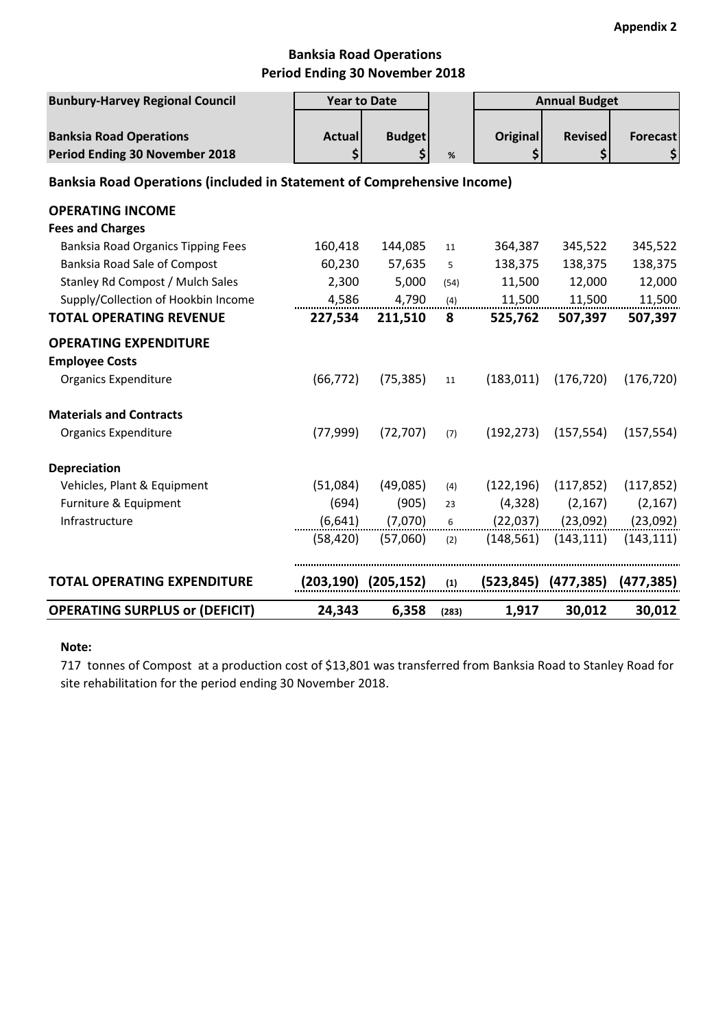### **Banksia Road Operations Period Ending 30 November 2018**

| <b>Bunbury-Harvey Regional Council</b>                                  | <b>Year to Date</b> |                     |       | <b>Annual Budget</b>  |                           |                       |
|-------------------------------------------------------------------------|---------------------|---------------------|-------|-----------------------|---------------------------|-----------------------|
| <b>Banksia Road Operations</b><br>Period Ending 30 November 2018        | <b>Actual</b><br>\$ | <b>Budget</b><br>\$ | $\%$  | <b>Original</b><br>\$ | <b>Revised</b><br>\$      | <b>Forecast</b><br>\$ |
| Banksia Road Operations (included in Statement of Comprehensive Income) |                     |                     |       |                       |                           |                       |
| <b>OPERATING INCOME</b>                                                 |                     |                     |       |                       |                           |                       |
| <b>Fees and Charges</b>                                                 |                     |                     |       |                       |                           |                       |
| <b>Banksia Road Organics Tipping Fees</b>                               | 160,418             | 144,085             | 11    | 364,387               | 345,522                   | 345,522               |
| Banksia Road Sale of Compost                                            | 60,230              | 57,635              | 5     | 138,375               | 138,375                   | 138,375               |
| Stanley Rd Compost / Mulch Sales                                        | 2,300               | 5,000               | (54)  | 11,500                | 12,000                    | 12,000                |
| Supply/Collection of Hookbin Income                                     | 4,586               | 4,790               | (4)   | 11,500                | 11,500                    | 11,500                |
| <b>TOTAL OPERATING REVENUE</b>                                          | 227,534             | 211,510             | 8     | 525,762               | 507,397                   | 507,397               |
| <b>OPERATING EXPENDITURE</b>                                            |                     |                     |       |                       |                           |                       |
| <b>Employee Costs</b>                                                   |                     |                     |       |                       |                           |                       |
| <b>Organics Expenditure</b>                                             | (66, 772)           | (75, 385)           | 11    | (183, 011)            | (176, 720)                | (176, 720)            |
| <b>Materials and Contracts</b>                                          |                     |                     |       |                       |                           |                       |
| <b>Organics Expenditure</b>                                             | (77, 999)           | (72, 707)           | (7)   | (192, 273)            | (157, 554)                | (157, 554)            |
| <b>Depreciation</b>                                                     |                     |                     |       |                       |                           |                       |
| Vehicles, Plant & Equipment                                             | (51,084)            | (49,085)            | (4)   | (122, 196)            | (117, 852)                | (117, 852)            |
| Furniture & Equipment                                                   | (694)               | (905)               | 23    | (4,328)               | (2, 167)                  | (2, 167)              |
| Infrastructure                                                          | (6, 641)            | (7,070)             | 6     | (22,037)              | (23,092)                  | (23,092)              |
|                                                                         | (58, 420)           | (57,060)            | (2)   | (148, 561)            | (143, 111)                | (143, 111)            |
| <b>TOTAL OPERATING EXPENDITURE</b>                                      |                     | (203,190) (205,152) | (1)   |                       | $(523, 845)$ $(477, 385)$ | (477, 385)            |
| <b>OPERATING SURPLUS or (DEFICIT)</b>                                   | 24,343              | 6,358               | (283) | 1,917                 | 30,012                    | 30,012                |

### **Note:**

717 tonnes of Compost at a production cost of \$13,801 was transferred from Banksia Road to Stanley Road for site rehabilitation for the period ending 30 November 2018.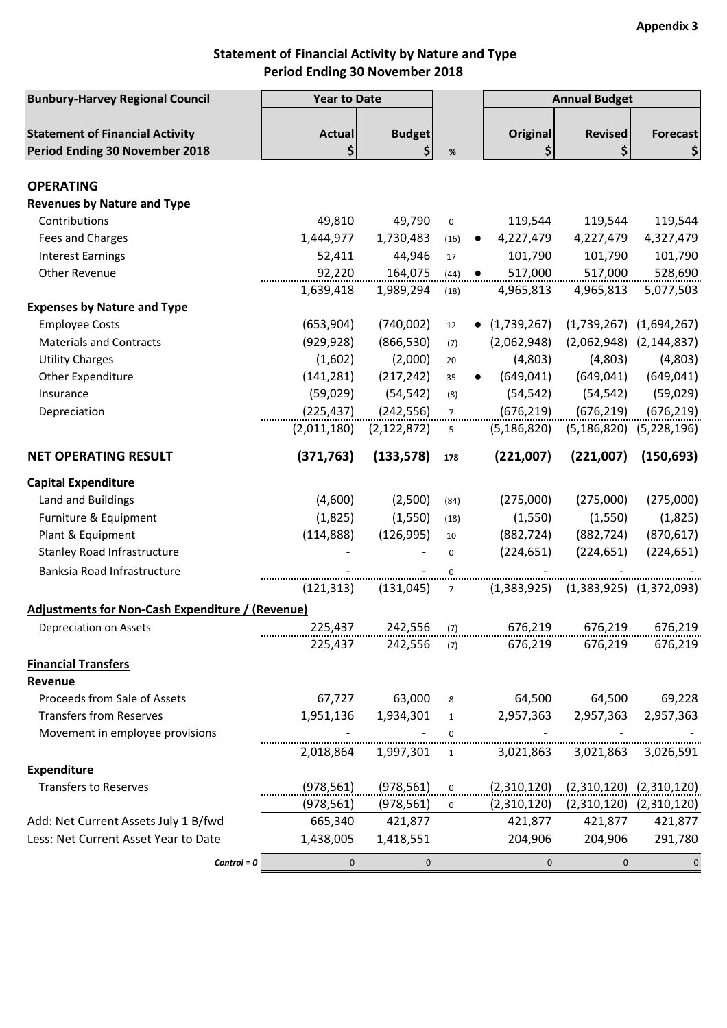## **Statement of Financial Activity by Nature and Type Period Ending 30 November 2018**

| <b>Bunbury-Harvey Regional Council</b>                  | <b>Year to Date</b> |               |                 |                        | <b>Annual Budget</b>                      |                                 |
|---------------------------------------------------------|---------------------|---------------|-----------------|------------------------|-------------------------------------------|---------------------------------|
|                                                         |                     |               |                 |                        |                                           |                                 |
| <b>Statement of Financial Activity</b>                  | <b>Actual</b>       | <b>Budget</b> |                 | <b>Original</b>        | <b>Revised</b>                            | <b>Forecast</b>                 |
| Period Ending 30 November 2018                          | \$                  | \$            | $\%$            | \$                     | \$                                        | \$                              |
| <b>OPERATING</b>                                        |                     |               |                 |                        |                                           |                                 |
| <b>Revenues by Nature and Type</b>                      |                     |               |                 |                        |                                           |                                 |
| Contributions                                           | 49,810              | 49,790        | $\mathbf 0$     | 119,544                | 119,544                                   | 119,544                         |
| Fees and Charges                                        | 1,444,977           | 1,730,483     | (16)            | 4,227,479<br>$\bullet$ | 4,227,479                                 | 4,327,479                       |
| <b>Interest Earnings</b>                                | 52,411              | 44,946        | 17              | 101,790                | 101,790                                   | 101,790                         |
| Other Revenue                                           | 92,220              | 164,075       | (44)            | 517,000<br>$\bullet$   | 517,000                                   | 528,690                         |
|                                                         | 1,639,418           | 1,989,294     |                 | 4,965,813              | 4,965,813                                 | 5,077,503                       |
|                                                         |                     |               | (18)            |                        |                                           |                                 |
| <b>Expenses by Nature and Type</b>                      |                     |               |                 |                        |                                           |                                 |
| <b>Employee Costs</b>                                   | (653,904)           | (740,002)     | 12              | (1,739,267)            |                                           | $(1,739,267)$ $(1,694,267)$     |
| <b>Materials and Contracts</b>                          | (929, 928)          | (866, 530)    | (7)             | (2,062,948)            |                                           | $(2,062,948)$ $(2,144,837)$     |
| <b>Utility Charges</b>                                  | (1,602)             | (2,000)       | 20              | (4,803)                | (4,803)                                   | (4,803)                         |
| Other Expenditure                                       | (141, 281)          | (217, 242)    | 35              | (649, 041)             | (649, 041)                                | (649, 041)                      |
| Insurance                                               | (59,029)            | (54, 542)     | (8)             | (54, 542)              | (54, 542)                                 | (59, 029)                       |
| Depreciation                                            | (225, 437)          | (242, 556)    | $7\overline{ }$ | (676, 219)             | (676, 219)                                | (676, 219)                      |
|                                                         | (2,011,180)         | (2, 122, 872) | 5               | (5, 186, 820)          |                                           | $(5, 186, 820)$ $(5, 228, 196)$ |
| <b>NET OPERATING RESULT</b>                             | (371, 763)          | (133, 578)    | 178             | (221,007)              | (221,007)                                 | (150, 693)                      |
| <b>Capital Expenditure</b>                              |                     |               |                 |                        |                                           |                                 |
| Land and Buildings                                      | (4,600)             | (2,500)       | (84)            | (275,000)              | (275,000)                                 | (275,000)                       |
| Furniture & Equipment                                   | (1,825)             | (1,550)       | (18)            | (1,550)                | (1,550)                                   | (1,825)                         |
| Plant & Equipment                                       | (114,888)           | (126, 995)    | 10              | (882, 724)             | (882, 724)                                | (870, 617)                      |
| <b>Stanley Road Infrastructure</b>                      |                     |               | $\mathbf 0$     | (224, 651)             | (224, 651)                                | (224, 651)                      |
| Banksia Road Infrastructure                             |                     |               | 0               |                        |                                           |                                 |
|                                                         | (121, 313)          | (131, 045)    | $7\overline{ }$ |                        | $(1,383,925)$ $(1,383,925)$ $(1,372,093)$ |                                 |
| <b>Adjustments for Non-Cash Expenditure / (Revenue)</b> |                     |               |                 |                        |                                           |                                 |
| Depreciation on Assets                                  | 225,437             | 242,556       | (7)             | 676,219                | 676,219                                   | 676,219                         |
|                                                         | 225,437             | $242,556$ (7) |                 | 676,219                | 676,219                                   | 676,219                         |
|                                                         |                     |               |                 |                        |                                           |                                 |
| <b>Financial Transfers</b>                              |                     |               |                 |                        |                                           |                                 |
| Revenue                                                 |                     |               |                 |                        |                                           |                                 |
| Proceeds from Sale of Assets                            | 67,727              | 63,000        | 8               |                        | 64,500 64,500                             | 69,228                          |
| <b>Transfers from Reserves</b>                          | 1,951,136           | 1,934,301     | 1               | 2,957,363              | 2,957,363                                 | 2,957,363                       |
| Movement in employee provisions                         |                     |               | $\mathbf{0}$    |                        |                                           |                                 |
|                                                         | 2,018,864           | 1,997,301     | 1               | 3,021,863              |                                           | 3,021,863 3,026,591             |
| Expenditure                                             |                     |               |                 |                        |                                           |                                 |
| <b>Transfers to Reserves</b>                            | (978, 561)          | (978, 561)    | $\mathbf 0$     | (2,310,120)            |                                           | $(2,310,120)$ $(2,310,120)$     |
|                                                         | (978, 561)          | (978, 561)    | $\mathbf{0}$    | (2,310,120)            |                                           | $(2,310,120)$ $(2,310,120)$     |
| Add: Net Current Assets July 1 B/fwd                    | 665,340             | 421,877       |                 | 421,877                | 421,877                                   | 421,877                         |
| Less: Net Current Asset Year to Date                    | 1,438,005           | 1,418,551     |                 | 204,906                | 204,906                                   | 291,780                         |
| $Control = 0$                                           | $\mathbf{0}$        | $\mathbf{0}$  |                 | $\mathbf 0$            | $\mathbf{0}$                              | $\mathbf 0$                     |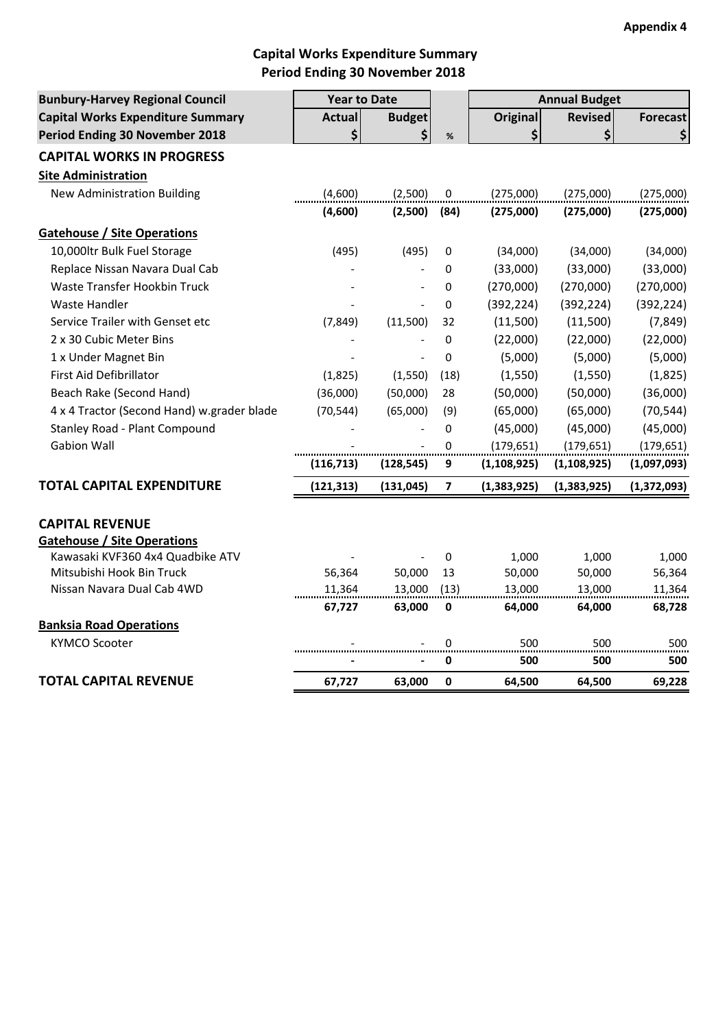## **Capital Works Expenditure Summary Period Ending 30 November 2018**

| <b>Bunbury-Harvey Regional Council</b>     | <b>Year to Date</b> |                |                  |                 | <b>Annual Budget</b> |                 |
|--------------------------------------------|---------------------|----------------|------------------|-----------------|----------------------|-----------------|
| <b>Capital Works Expenditure Summary</b>   | <b>Actual</b>       | <b>Budget</b>  |                  | <b>Original</b> | <b>Revised</b>       | <b>Forecast</b> |
| Period Ending 30 November 2018             | \$                  | \$             | $\%$             | \$              | \$                   | \$              |
| <b>CAPITAL WORKS IN PROGRESS</b>           |                     |                |                  |                 |                      |                 |
| <b>Site Administration</b>                 |                     |                |                  |                 |                      |                 |
| <b>New Administration Building</b>         | (4,600)             | (2,500)        | $\boldsymbol{0}$ | (275,000)       | (275,000)            | (275,000)       |
|                                            | (4,600)             | (2,500)        | (84)             | (275,000)       | (275,000)            | (275,000)       |
| <b>Gatehouse / Site Operations</b>         |                     |                |                  |                 |                      |                 |
| 10,000ltr Bulk Fuel Storage                | (495)               | (495)          | 0                | (34,000)        | (34,000)             | (34,000)        |
| Replace Nissan Navara Dual Cab             |                     |                | 0                | (33,000)        | (33,000)             | (33,000)        |
| Waste Transfer Hookbin Truck               |                     |                | 0                | (270,000)       | (270,000)            | (270,000)       |
| <b>Waste Handler</b>                       |                     |                | 0                | (392, 224)      | (392, 224)           | (392, 224)      |
| Service Trailer with Genset etc            | (7, 849)            | (11,500)       | 32               | (11,500)        | (11,500)             | (7, 849)        |
| 2 x 30 Cubic Meter Bins                    |                     |                | 0                | (22,000)        | (22,000)             | (22,000)        |
| 1 x Under Magnet Bin                       |                     | $\overline{a}$ | 0                | (5,000)         | (5,000)              | (5,000)         |
| First Aid Defibrillator                    | (1,825)             | (1,550)        | (18)             | (1,550)         | (1,550)              | (1,825)         |
| Beach Rake (Second Hand)                   | (36,000)            | (50,000)       | 28               | (50,000)        | (50,000)             | (36,000)        |
| 4 x 4 Tractor (Second Hand) w.grader blade | (70, 544)           | (65,000)       | (9)              | (65,000)        | (65,000)             | (70, 544)       |
| <b>Stanley Road - Plant Compound</b>       |                     |                | 0                | (45,000)        | (45,000)             | (45,000)        |
| <b>Gabion Wall</b>                         |                     |                | $\Omega$         | (179, 651)      | (179, 651)           | (179, 651)      |
|                                            | (116, 713)          | (128, 545)     | 9                | (1, 108, 925)   | (1, 108, 925)        | (1,097,093)     |
| <b>TOTAL CAPITAL EXPENDITURE</b>           | (121, 313)          | (131, 045)     | 7                | (1, 383, 925)   | (1,383,925)          | (1,372,093)     |
| <b>CAPITAL REVENUE</b>                     |                     |                |                  |                 |                      |                 |
| <b>Gatehouse / Site Operations</b>         |                     |                |                  |                 |                      |                 |
| Kawasaki KVF360 4x4 Quadbike ATV           |                     |                | 0                | 1,000           | 1,000                | 1,000           |
| Mitsubishi Hook Bin Truck                  | 56,364              | 50,000         | 13               | 50,000          | 50,000               | 56,364          |
| Nissan Navara Dual Cab 4WD                 | 11,364              | 13,000         | (13)             | 13,000          | 13,000               | 11,364          |
|                                            | 67,727              | 63,000         | 0                | 64,000          | 64,000               | 68,728          |
| <b>Banksia Road Operations</b>             |                     |                |                  |                 |                      |                 |
| <b>KYMCO Scooter</b>                       |                     |                | 0                | 500             | 500                  | 500             |
|                                            |                     |                | 0                | 500             | 500                  | 500             |
| TOTAL CAPITAL REVENUE                      | 67,727              | 63,000         | 0                | 64,500          | 64,500               | 69,228          |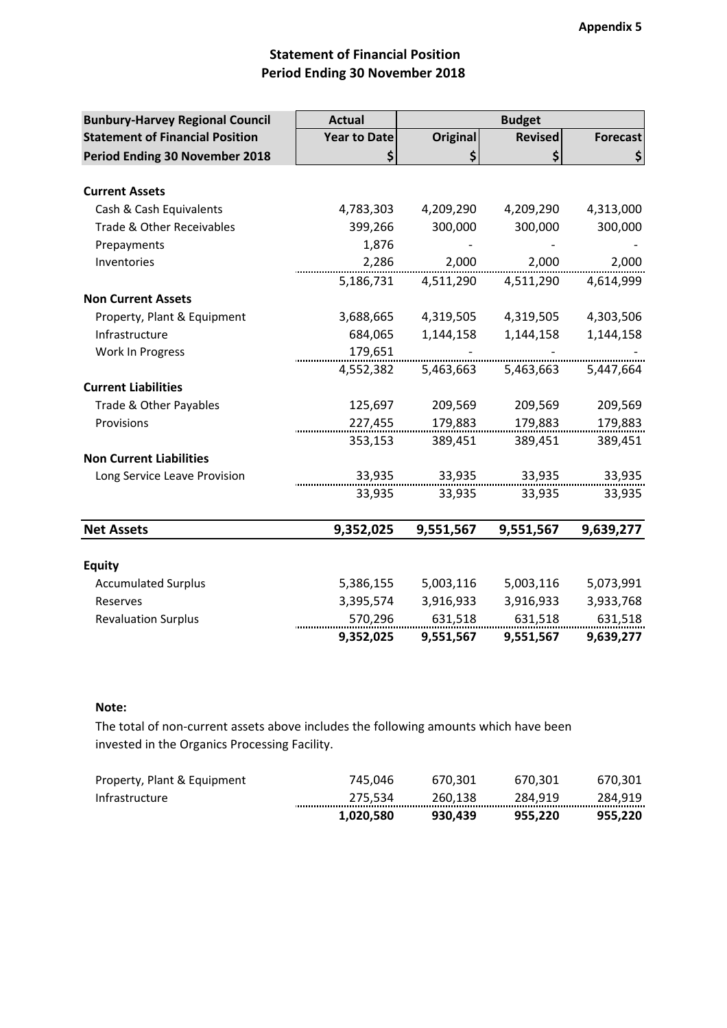## **Statement of Financial Position Period Ending 30 November 2018**

| <b>Bunbury-Harvey Regional Council</b> | <b>Actual</b>       |                 | <b>Budget</b>  |                 |
|----------------------------------------|---------------------|-----------------|----------------|-----------------|
| <b>Statement of Financial Position</b> | <b>Year to Date</b> | <b>Original</b> | <b>Revised</b> | <b>Forecast</b> |
| <b>Period Ending 30 November 2018</b>  | \$                  | \$              | \$             | \$              |
|                                        |                     |                 |                |                 |
| <b>Current Assets</b>                  |                     |                 |                |                 |
| Cash & Cash Equivalents                | 4,783,303           | 4,209,290       | 4,209,290      | 4,313,000       |
| Trade & Other Receivables              | 399,266             | 300,000         | 300,000        | 300,000         |
| Prepayments                            | 1,876               |                 |                |                 |
| Inventories                            | 2,286               | 2,000           | 2,000          | 2,000           |
|                                        | 5,186,731           | 4,511,290       | 4,511,290      | 4,614,999       |
| <b>Non Current Assets</b>              |                     |                 |                |                 |
| Property, Plant & Equipment            | 3,688,665           | 4,319,505       | 4,319,505      | 4,303,506       |
| Infrastructure                         | 684,065             | 1,144,158       | 1,144,158      | 1,144,158       |
| Work In Progress                       | 179,651             |                 |                |                 |
|                                        | 4,552,382           | 5,463,663       | 5,463,663      | 5,447,664       |
| <b>Current Liabilities</b>             |                     |                 |                |                 |
| Trade & Other Payables                 | 125,697             | 209,569         | 209,569        | 209,569         |
| Provisions                             | 227,455             | 179,883         | 179,883        | 179,883         |
|                                        | 353,153             | 389,451         | 389,451        | 389,451         |
| <b>Non Current Liabilities</b>         |                     |                 |                |                 |
| Long Service Leave Provision           | 33,935              | 33,935          | 33,935         | 33,935          |
|                                        | 33,935              | 33,935          | 33,935         | 33,935          |
|                                        |                     |                 |                |                 |
| <b>Net Assets</b>                      | 9,352,025           | 9,551,567       | 9,551,567      | 9,639,277       |
|                                        |                     |                 |                |                 |
| <b>Equity</b>                          |                     |                 |                |                 |
| <b>Accumulated Surplus</b>             | 5,386,155           | 5,003,116       | 5,003,116      | 5,073,991       |
| Reserves                               | 3,395,574           | 3,916,933       | 3,916,933      | 3,933,768       |
| <b>Revaluation Surplus</b>             | 570,296             | 631,518         | 631,518        | 631,518         |
|                                        | 9,352,025           | 9,551,567       | 9,551,567      | 9,639,277       |

#### **Note:**

The total of non-current assets above includes the following amounts which have been invested in the Organics Processing Facility.

|                             | 1.020.580 | 930.439 | 955.220 | 955.220     |
|-----------------------------|-----------|---------|---------|-------------|
| Infrastructure              | 275.534   | 260.138 | 284.919 | 284.919<br> |
| Property, Plant & Equipment | 745.046   | 670.301 | 670.301 | 670,301     |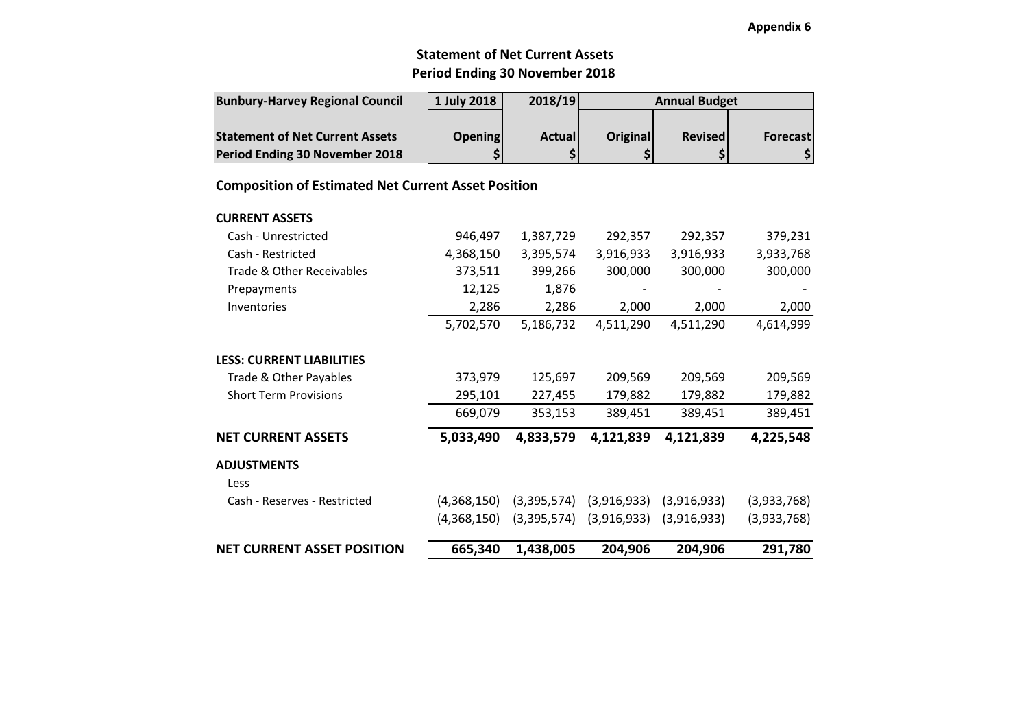#### **Appendix 6**

### **Statement of Net Current AssetsPeriod Ending 30 November 2018**

| <b>Bunbury-Harvey Regional Council</b> | 1 July 2018    | 2018/19        |                 | <b>Annual Budget</b> |          |  |  |
|----------------------------------------|----------------|----------------|-----------------|----------------------|----------|--|--|
|                                        |                |                |                 |                      |          |  |  |
| <b>Statement of Net Current Assets</b> | <b>Opening</b> | <b>Actuall</b> | <b>Original</b> | <b>Revised</b>       | Forecast |  |  |
| <b>Period Ending 30 November 2018</b>  |                |                |                 |                      |          |  |  |

### **Composition of Estimated Net Current Asset Position**

| <b>NET CURRENT ASSET POSITION</b>    | 665,340     | 1,438,005   | 204,906     | 204,906     | 291,780     |
|--------------------------------------|-------------|-------------|-------------|-------------|-------------|
|                                      | (4,368,150) | (3,395,574) | (3,916,933) | (3,916,933) | (3,933,768) |
| Less<br>Cash - Reserves - Restricted | (4,368,150) | (3,395,574) | (3,916,933) | (3,916,933) | (3,933,768) |
| <b>ADJUSTMENTS</b>                   |             |             |             |             |             |
| <b>NET CURRENT ASSETS</b>            | 5,033,490   | 4,833,579   | 4,121,839   | 4,121,839   | 4,225,548   |
|                                      | 669,079     | 353,153     | 389,451     | 389,451     | 389,451     |
| <b>Short Term Provisions</b>         | 295,101     | 227,455     | 179,882     | 179,882     | 179,882     |
| Trade & Other Payables               | 373,979     | 125,697     | 209,569     | 209,569     | 209,569     |
| <b>LESS: CURRENT LIABILITIES</b>     |             |             |             |             |             |
|                                      | 5,702,570   | 5,186,732   | 4,511,290   | 4,511,290   | 4,614,999   |
| Inventories                          | 2,286       | 2,286       | 2,000       | 2,000       | 2,000       |
| Prepayments                          | 12,125      | 1,876       |             |             |             |
| Trade & Other Receivables            | 373,511     | 399,266     | 300,000     | 300,000     | 300,000     |
| Cash - Restricted                    | 4,368,150   | 3,395,574   | 3,916,933   | 3,916,933   | 3,933,768   |
| Cash - Unrestricted                  | 946,497     | 1,387,729   | 292,357     | 292,357     | 379,231     |
| <b>CURRENT ASSETS</b>                |             |             |             |             |             |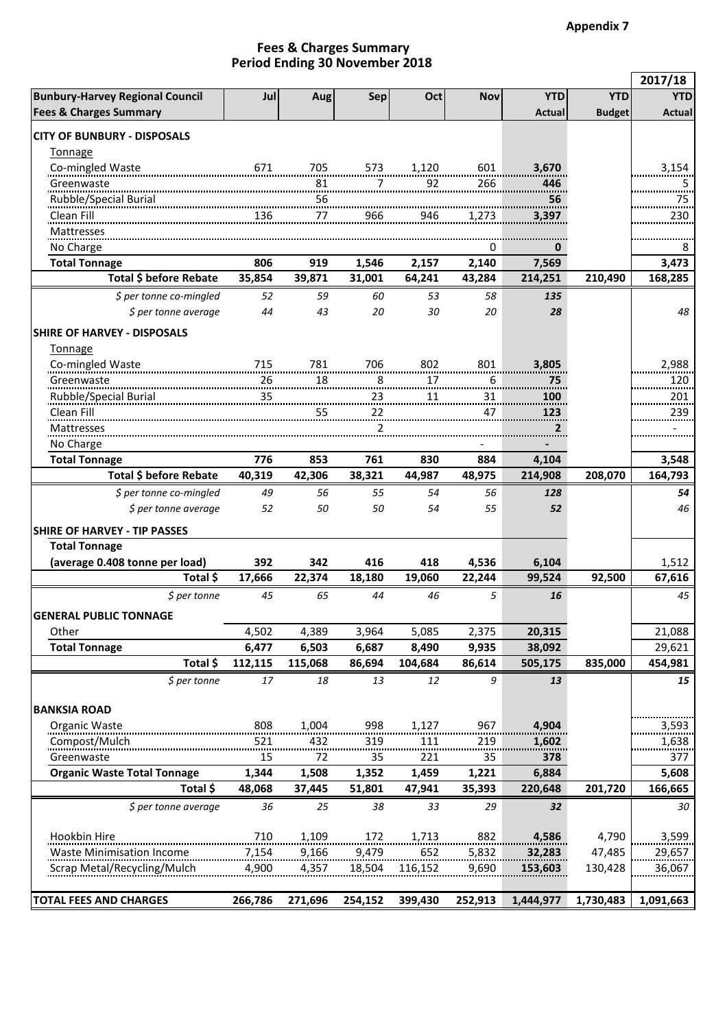#### **Period Ending 30 November 2018 Fees & Charges Summary**

|                                        |                |         |          |           |            |                  |               | 2017/18          |
|----------------------------------------|----------------|---------|----------|-----------|------------|------------------|---------------|------------------|
| <b>Bunbury-Harvey Regional Council</b> | Jul            | Aug     | Sep      | Oct       | <b>Nov</b> | <b>YTD</b>       | <b>YTD</b>    | <b>YTD</b>       |
| <b>Fees &amp; Charges Summary</b>      |                |         |          |           |            | Actual           | <b>Budget</b> | <b>Actual</b>    |
| <b>CITY OF BUNBURY - DISPOSALS</b>     |                |         |          |           |            |                  |               |                  |
| Tonnage                                |                |         |          |           |            |                  |               |                  |
| Co-mingled Waste                       | 671            | 705     | 573      | 1,120     | 601        | 3,670            |               | 3,154            |
| Greenwaste                             |                | 81      | 7        | 92        | 266        | 446              |               | 5                |
| Rubble/Special Burial                  |                | 56      |          |           |            | 56               |               | 75               |
| Clean Fill                             | 136            | 77      | 966      | 946       | 1.273      | 3,397            |               | 230              |
| <b>Mattresses</b>                      |                |         |          |           |            |                  |               |                  |
| No Charge                              |                |         |          |           | 0          | 0                |               | 8                |
| <b>Total Tonnage</b>                   | 806            | 919     | 1,546    | 2,157     | 2,140      | 7,569            |               | 3,473            |
| Total \$ before Rebate                 | 35,854         | 39,871  | 31,001   | 64,241    | 43,284     | 214,251          | 210,490       | 168,285          |
| \$ per tonne co-mingled                | 52             | 59      | 60       | 53        | 58         | 135              |               |                  |
| \$ per tonne average                   | 44             | 43      | 20       | 30        | 20         | 28               |               | 48               |
|                                        |                |         |          |           |            |                  |               |                  |
| <b>SHIRE OF HARVEY - DISPOSALS</b>     |                |         |          |           |            |                  |               |                  |
| Tonnage                                |                |         |          |           |            |                  |               | 2,988            |
| Co-mingled Waste                       | 715<br>26      | 781     | 706      | 802<br>17 | 801        | 3,805            |               |                  |
| Greenwaste                             |                | 18      | 8<br>    |           | 6          | 75               |               | 120              |
| Rubble/Special Burial<br>Clean Fill    | $\frac{35}{2}$ | 55      | 23<br>22 | 11        | 31<br>47   | 100              |               | 201<br><br>239   |
|                                        |                |         |          |           |            | 123<br>2         |               |                  |
| Mattresses                             |                |         | 2        |           |            |                  |               |                  |
| No Charge<br><b>Total Tonnage</b>      | 776            | 853     | 761      | 830       | 884        |                  |               |                  |
| Total \$ before Rebate                 | 40,319         | 42,306  | 38,321   | 44,987    | 48,975     | 4,104<br>214,908 | 208,070       | 3,548<br>164,793 |
|                                        |                |         |          |           |            |                  |               |                  |
| \$ per tonne co-mingled                | 49             | 56      | 55       | 54        | 56         | 128              |               | 54               |
| \$ per tonne average                   | 52             | 50      | 50       | 54        | 55         | 52               |               | 46               |
| <b>SHIRE OF HARVEY - TIP PASSES</b>    |                |         |          |           |            |                  |               |                  |
| <b>Total Tonnage</b>                   |                |         |          |           |            |                  |               |                  |
| (average 0.408 tonne per load)         | 392            | 342     | 416      | 418       | 4,536      | 6,104            |               | 1,512            |
| Total \$                               | 17,666         | 22,374  | 18,180   | 19,060    | 22,244     | 99,524           | 92,500        | 67,616           |
| $$$ per tonne                          | 45             | 65      | 44       | 46        | 5          | 16               |               | 45               |
| <b>GENERAL PUBLIC TONNAGE</b>          |                |         |          |           |            |                  |               |                  |
| Other                                  | 4,502          | 4,389   | 3,964    | 5,085     | 2,375      | 20,315           |               | 21,088           |
| <b>Total Tonnage</b>                   | 6,477          | 6,503   | 6,687    | 8,490     | 9,935      | 38,092           |               | 29,621           |
| Total \$                               | 112,115        | 115,068 | 86,694   | 104,684   | 86,614     | 505,175          | 835,000       | 454,981          |
| $$$ per tonne                          | 17             | 18      | 13       | 12        | 9          | 13               |               | 15               |
|                                        |                |         |          |           |            |                  |               |                  |
| <b>BANKSIA ROAD</b>                    |                |         |          |           |            |                  |               |                  |
| Organic Waste                          | 808            | 1.004   | 998      | 1,127     | 967        | 4,904            |               | 3,593            |
| Compost/Mulch                          | 521            | 432     | 319      | 111       | 219        | 1,602            |               | 1,638            |
| Greenwaste                             | 15             | 72      | 35       | 221       | 35         | 378              |               | 377              |
| <b>Organic Waste Total Tonnage</b>     | 1,344          | 1,508   | 1,352    | 1,459     | 1,221      | 6,884            |               | 5,608            |
| Total \$                               | 48,068         | 37,445  | 51,801   | 47,941    | 35,393     | 220,648          | 201,720       | 166,665          |
| \$ per tonne average                   | 36             | 25      | 38       | 33        | 29         | 32               |               | 30               |
|                                        |                |         |          |           |            |                  |               |                  |
| Hookbin Hire                           | 710            | 1,109   | 172      | 1,713     | 882        | 4,586            | 4,790         | 3,599            |
| Waste Minimisation Income              | 7,154          | 9,166   | 9,479    | 652       | 5,832      | 32,283           | 47,485        | 29,657           |
| Scrap Metal/Recycling/Mulch            | 4,900          | 4,357   | 18,504   | 116,152   | 9,690      | 153,603          | 130,428       | 36,067           |
|                                        |                |         |          |           |            |                  |               |                  |
| <b>TOTAL FEES AND CHARGES</b>          | 266,786        | 271,696 | 254,152  | 399,430   | 252,913    | 1,444,977        | 1,730,483     | 1,091,663        |